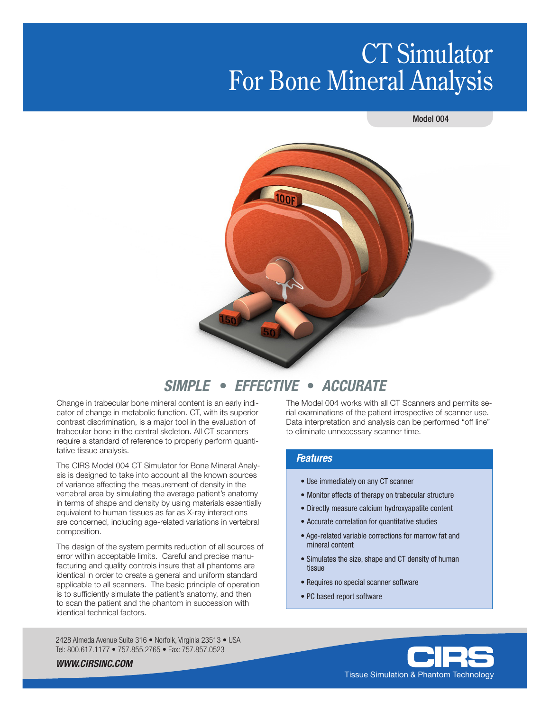# CT Simulator For Bone Mineral Analysis





## *SIMPLE* • *EFFECTIVE* • *ACCURATE*

Change in trabecular bone mineral content is an early indicator of change in metabolic function. CT, with its superior contrast discrimination, is a major tool in the evaluation of trabecular bone in the central skeleton. All CT scanners require a standard of reference to properly perform quantitative tissue analysis.

The CIRS Model 004 CT Simulator for Bone Mineral Analysis is designed to take into account all the known sources of variance affecting the measurement of density in the vertebral area by simulating the average patient's anatomy in terms of shape and density by using materials essentially equivalent to human tissues as far as X-ray interactions are concerned, including age-related variations in vertebral composition.

The design of the system permits reduction of all sources of error within acceptable limits. Careful and precise manufacturing and quality controls insure that all phantoms are identical in order to create a general and uniform standard applicable to all scanners. The basic principle of operation is to sufficiently simulate the patient's anatomy, and then to scan the patient and the phantom in succession with identical technical factors.

2428 Almeda Avenue Suite 316 • Norfolk, Virginia 23513 • USA Tel: 800.617.1177 • 757.855.2765 • Fax: 757.857.0523

The Model 004 works with all CT Scanners and permits serial examinations of the patient irrespective of scanner use. Data interpretation and analysis can be performed "off line" to eliminate unnecessary scanner time.

#### *Features*

- Use immediately on any CT scanner
- Monitor effects of therapy on trabecular structure
- Directly measure calcium hydroxyapatite content
- Accurate correlation for quantitative studies
- Age-related variable corrections for marrow fat and mineral content
- Simulates the size, shape and CT density of human tissue
- Requires no special scanner software
- PC based report software



*WWW.CIRSINC.COM*